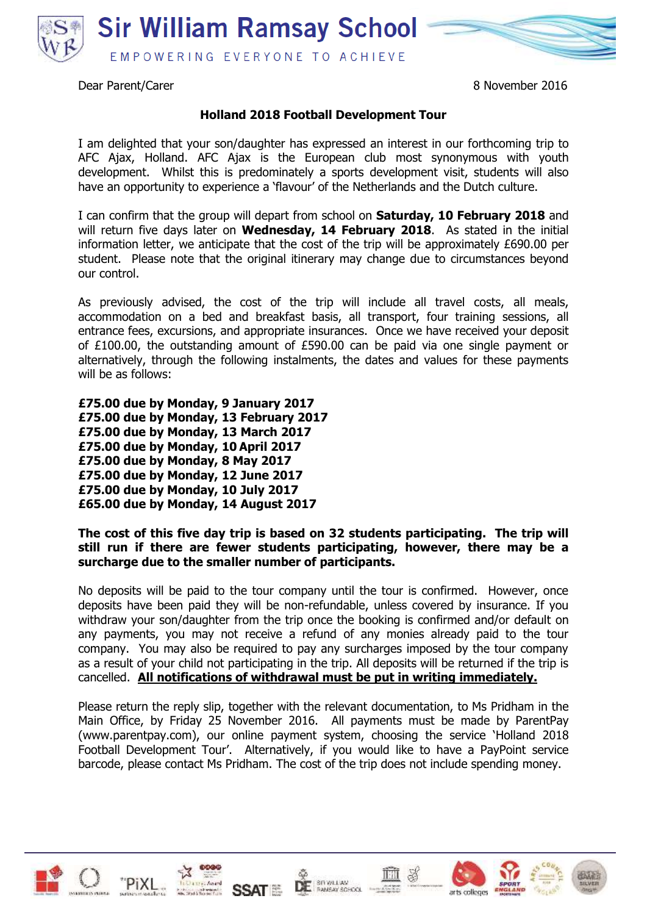

Dear Parent/Carer 8 November 2016

## **Holland 2018 Football Development Tour**

I am delighted that your son/daughter has expressed an interest in our forthcoming trip to AFC Ajax, Holland. AFC Ajax is the European club most synonymous with youth development. Whilst this is predominately a sports development visit, students will also have an opportunity to experience a 'flavour' of the Netherlands and the Dutch culture.

I can confirm that the group will depart from school on **Saturday, 10 February 2018** and will return five days later on **Wednesday, 14 February 2018**. As stated in the initial information letter, we anticipate that the cost of the trip will be approximately £690.00 per student. Please note that the original itinerary may change due to circumstances beyond our control.

As previously advised, the cost of the trip will include all travel costs, all meals, accommodation on a bed and breakfast basis, all transport, four training sessions, all entrance fees, excursions, and appropriate insurances. Once we have received your deposit of £100.00, the outstanding amount of £590.00 can be paid via one single payment or alternatively, through the following instalments, the dates and values for these payments will be as follows:

**£75.00 due by Monday, 9 January 2017 £75.00 due by Monday, 13 February 2017 £75.00 due by Monday, 13 March 2017 £75.00 due by Monday, 10 April 2017 £75.00 due by Monday, 8 May 2017 £75.00 due by Monday, 12 June 2017 £75.00 due by Monday, 10 July 2017 £65.00 due by Monday, 14 August 2017**

## **The cost of this five day trip is based on 32 students participating. The trip will still run if there are fewer students participating, however, there may be a surcharge due to the smaller number of participants.**

No deposits will be paid to the tour company until the tour is confirmed. However, once deposits have been paid they will be non-refundable, unless covered by insurance. If you withdraw your son/daughter from the trip once the booking is confirmed and/or default on any payments, you may not receive a refund of any monies already paid to the tour company. You may also be required to pay any surcharges imposed by the tour company as a result of your child not participating in the trip. All deposits will be returned if the trip is cancelled. **All notifications of withdrawal must be put in writing immediately.**

Please return the reply slip, together with the relevant documentation, to Ms Pridham in the Main Office, by Friday 25 November 2016. All payments must be made by ParentPay (www.parentpay.com), our online payment system, choosing the service 'Holland 2018 Football Development Tour'. Alternatively, if you would like to have a PayPoint service barcode, please contact Ms Pridham. The cost of the trip does not include spending money.













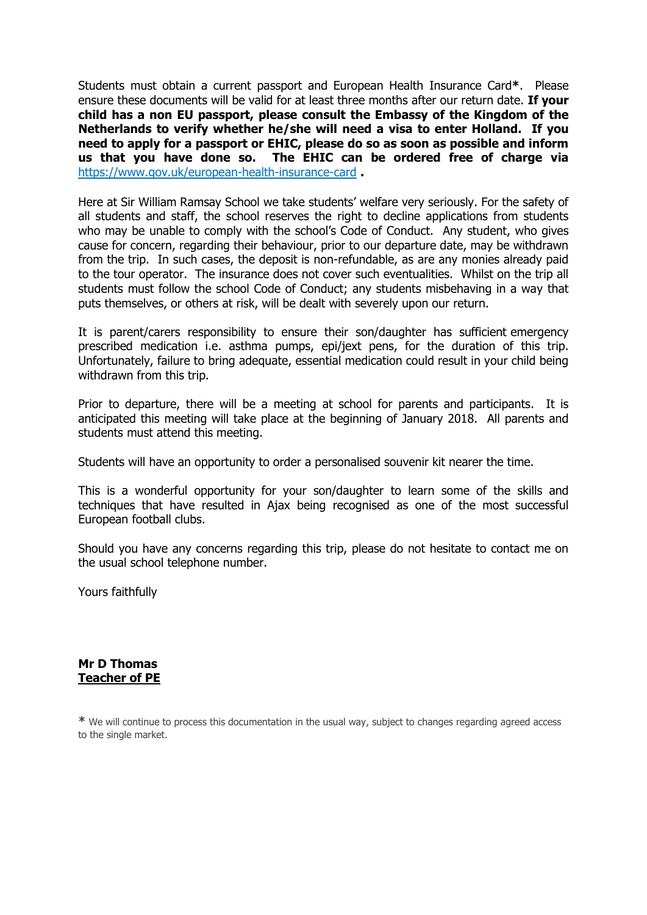Students must obtain a current passport and European Health Insurance Card**\***. Please ensure these documents will be valid for at least three months after our return date. **If your child has a non EU passport, please consult the Embassy of the Kingdom of the Netherlands to verify whether he/she will need a visa to enter Holland. If you need to apply for a passport or EHIC, please do so as soon as possible and inform us that you have done so. The EHIC can be ordered free of charge via**  <https://www.gov.uk/european-health-insurance-card> **.**

Here at Sir William Ramsay School we take students' welfare very seriously. For the safety of all students and staff, the school reserves the right to decline applications from students who may be unable to comply with the school's Code of Conduct. Any student, who gives cause for concern, regarding their behaviour, prior to our departure date, may be withdrawn from the trip. In such cases, the deposit is non-refundable, as are any monies already paid to the tour operator. The insurance does not cover such eventualities. Whilst on the trip all students must follow the school Code of Conduct; any students misbehaving in a way that puts themselves, or others at risk, will be dealt with severely upon our return.

It is parent/carers responsibility to ensure their son/daughter has sufficient emergency prescribed medication i.e. asthma pumps, epi/jext pens, for the duration of this trip. Unfortunately, failure to bring adequate, essential medication could result in your child being withdrawn from this trip.

Prior to departure, there will be a meeting at school for parents and participants. It is anticipated this meeting will take place at the beginning of January 2018. All parents and students must attend this meeting.

Students will have an opportunity to order a personalised souvenir kit nearer the time.

This is a wonderful opportunity for your son/daughter to learn some of the skills and techniques that have resulted in Ajax being recognised as one of the most successful European football clubs.

Should you have any concerns regarding this trip, please do not hesitate to contact me on the usual school telephone number.

Yours faithfully

## **Mr D Thomas Teacher of PE**

**\*** We will continue to process this documentation in the usual way, subject to changes regarding agreed access to the single market.